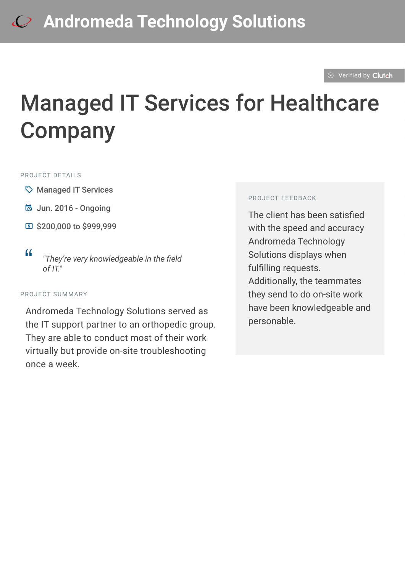#### $\otimes$  [Verified by](https://clutch.co?utm_source=case_studies&utm_medium=verified_by_clutch) Clutch

# Managed IT Services for Healthcare **Company**

#### PROJECT DETAILS

- $\heartsuit$  Managed IT Services
- B Jun. 2016 Ongoing
- **国 \$200,000 to \$999,999**

#### PROJECT SUMMARY

Andromeda Technology Solutions served as the IT support partner to an orthopedic group. They are able to conduct most of their work virtually but provide on-site troubleshooting once a week.

#### PROJECT FEEDBACK

The client has been satisfied with the speed and accuracy Andromeda Technology Solutions displays when fulfilling requests. Additionally, the teammates they send to do on-site work have been knowledgeable and personable.

<sup>D</sup> *"They're very knowledgeable in the field of IT."*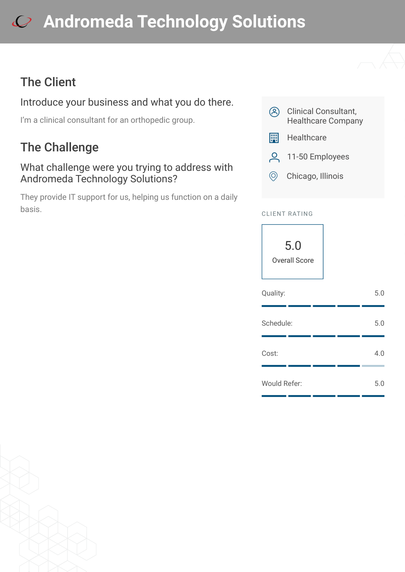# **[A](https://clutch.co/profile/andromeda-technology-solutions?utm_source=case_studies&utm_medium=logo)ndromeda Technology Solutions**

## The Client

### Introduce your business and what you do there.

I'm a clinical consultant for an orthopedic group.

## The Challenge

#### What challenge were you trying to address with Andromeda Technology Solutions?

They provide IT support for us, helping us function on a daily basis.



- **E Healthcare**
- 9 11-50 Employees
- $\circledcirc$  Chicago, Illinois

#### CLIENT RATING



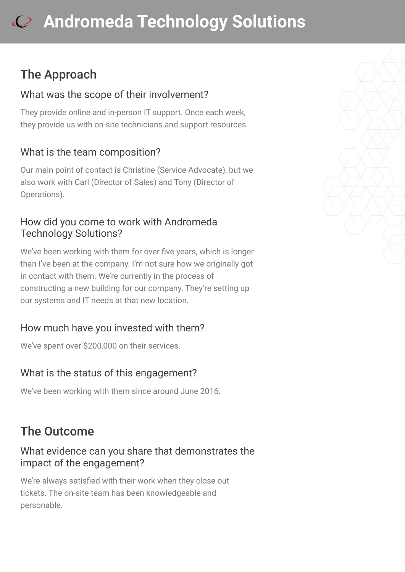# **[A](https://clutch.co/profile/andromeda-technology-solutions?utm_source=case_studies&utm_medium=logo)ndromeda Technology Solutions**

## The Approach

#### What was the scope of their involvement?

They provide online and in-person IT support. Once each week, they provide us with on-site technicians and support resources.

### What is the team composition?

Our main point of contact is Christine (Service Advocate), but we also work with Carl (Director of Sales) and Tony (Director of Operations).

#### How did you come to work with Andromeda Technology Solutions?

We've been working with them for over five years, which is longer than I've been at the company. I'm not sure how we originally got in contact with them. We're currently in the process of constructing a new building for our company. They're setting up our systems and IT needs at that new location.

### How much have you invested with them?

We've spent over \$200,000 on their services.

### What is the status of this engagement?

We've been working with them since around June 2016.

## The Outcome

#### What evidence can you share that demonstrates the impact of the engagement?

We're always satisfied with their work when they close out tickets. The on-site team has been knowledgeable and personable.